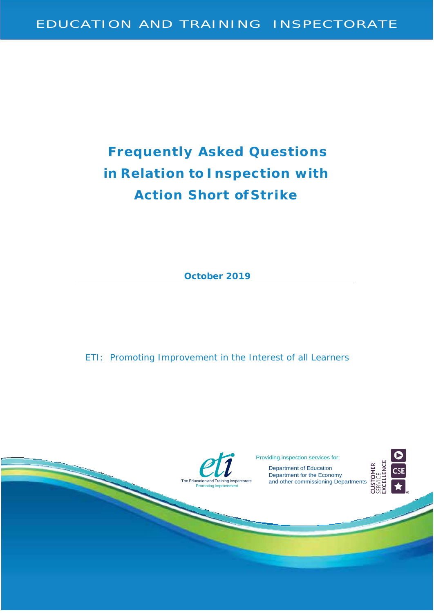# **Frequently Asked Questions in Relation to Inspection with Action Short of Strike**

**October 2019**

ETI: Promoting Improvement in the Interest of all Learners



Providing inspection services for:

Department of Education Department for the Economy and other commissioning Departments



**USTOMER**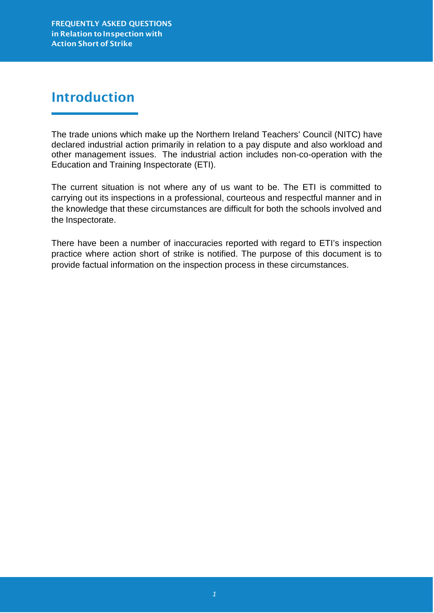# Introduction

The trade unions which make up the Northern Ireland Teachers' Council (NITC) have declared industrial action primarily in relation to a pay dispute and also workload and other management issues. The industrial action includes non-co-operation with the Education and Training Inspectorate (ETI).

The current situation is not where any of us want to be. The ETI is committed to carrying out its inspections in a professional, courteous and respectful manner and in the knowledge that these circumstances are difficult for both the schools involved and the Inspectorate.

There have been a number of inaccuracies reported with regard to ETI's inspection practice where action short of strike is notified. The purpose of this document is to provide factual information on the inspection process in these circumstances.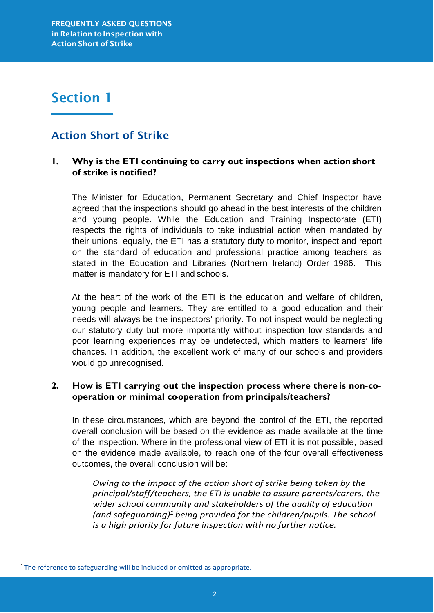## Section 1

### Action Short of Strike

### **1. Why is the ETI continuing to carry out inspections when actionshort of strike is notified?**

The Minister for Education, Permanent Secretary and Chief Inspector have agreed that the inspections should go ahead in the best interests of the children and young people. While the Education and Training Inspectorate (ETI) respects the rights of individuals to take industrial action when mandated by their unions, equally, the ETI has a statutory duty to monitor, inspect and report on the standard of education and professional practice among teachers as stated in the Education and Libraries (Northern Ireland) Order 1986. This matter is mandatory for ETI and schools.

At the heart of the work of the ETI is the education and welfare of children, young people and learners. They are entitled to a good education and their needs will always be the inspectors' priority. To not inspect would be neglecting our statutory duty but more importantly without inspection low standards and poor learning experiences may be undetected, which matters to learners' life chances. In addition, the excellent work of many of our schools and providers would go unrecognised.

### **2. How is ETI carrying out the inspection process where there is non-cooperation or minimal co-operation from principals/teachers?**

In these circumstances, which are beyond the control of the ETI, the reported overall conclusion will be based on the evidence as made available at the time of the inspection. Where in the professional view of ETI it is not possible, based on the evidence made available, to reach one of the four overall effectiveness outcomes, the overall conclusion will be:

*Owing to the impact of the action short of strike being taken by the principal/staff/teachers, the ETI is unable to assure parents/carers, the wider school community and stakeholders of the quality of education (and safeguarding[\)1](#page-2-0) being provided for the children/pupils. The school is a high priority for future inspection with no further notice.*

<span id="page-2-0"></span><sup>&</sup>lt;sup>1</sup> The reference to safeguarding will be included or omitted as appropriate.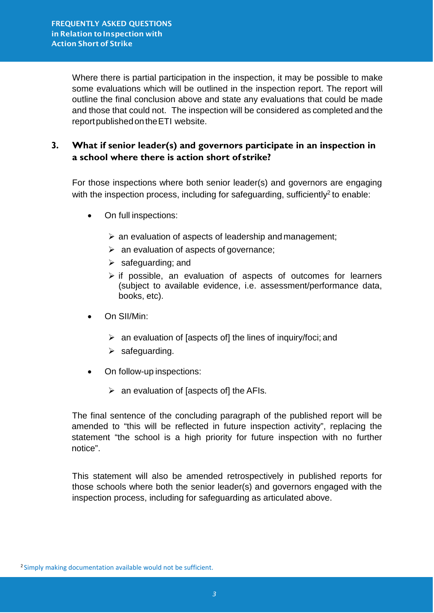Where there is partial participation in the inspection, it may be possible to make some evaluations which will be outlined in the inspection report. The report will outline the final conclusion above and state any evaluations that could be made and those that could not. The inspection will be considered as completed and the report published on the ETI website.

### **3. What if senior leader(s) and governors participate in an inspection in a school where there is action short of strike?**

For those inspections where both senior leader(s) and governors are engaging with the inspection process, including for safeguarding, sufficiently<sup>2</sup> to enable:

- On full inspections:
	- $\triangleright$  an evaluation of aspects of leadership and management;
	- $\triangleright$  an evaluation of aspects of governance;
	- $\triangleright$  safeguarding; and
	- $\triangleright$  if possible, an evaluation of aspects of outcomes for learners (subject to available evidence, i.e. assessment/performance data, books, etc).
- On SII/Min:
	- $\triangleright$  an evaluation of [aspects of] the lines of inquiry/foci; and
	- $\triangleright$  safeguarding.
- On follow-up inspections:
	- $\triangleright$  an evaluation of [aspects of] the AFIs.

The final sentence of the concluding paragraph of the published report will be amended to "this will be reflected in future inspection activity", replacing the statement "the school is a high priority for future inspection with no further notice".

This statement will also be amended retrospectively in published reports for those schools where both the senior leader(s) and governors engaged with the inspection process, including for safeguarding as articulated above.

<span id="page-3-0"></span><sup>2</sup> Simply making documentation available would not be sufficient.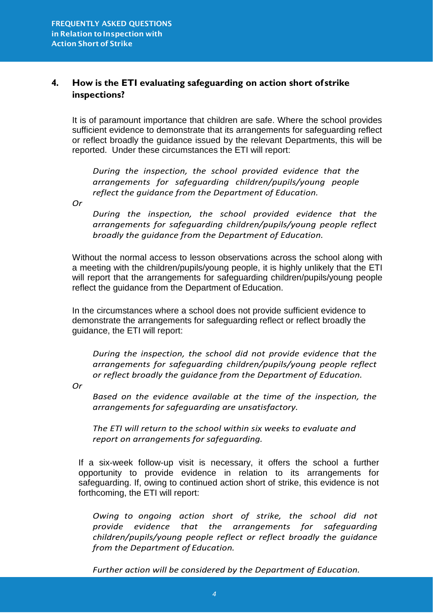### **4. How is the ETI evaluating safeguarding on action short of strike inspections?**

It is of paramount importance that children are safe. Where the school provides sufficient evidence to demonstrate that its arrangements for safeguarding reflect or reflect broadly the guidance issued by the relevant Departments, this will be reported. Under these circumstances the ETI will report:

*During the inspection, the school provided evidence that the arrangements for safeguarding children/pupils/young people reflect the guidance from the Department of Education.*

*Or*

*During the inspection, the school provided evidence that the arrangements for safeguarding children/pupils/young people reflect broadly the guidance from the Department of Education.*

Without the normal access to lesson observations across the school along with a meeting with the children/pupils/young people, it is highly unlikely that the ETI will report that the arrangements for safeguarding children/pupils/young people reflect the guidance from the Department of Education.

In the circumstances where a school does not provide sufficient evidence to demonstrate the arrangements for safeguarding reflect or reflect broadly the guidance, the ETI will report:

*During the inspection, the school did not provide evidence that the arrangements for safeguarding children/pupils/young people reflect or reflect broadly the guidance from the Department of Education.*

*Or*

*Based on the evidence available at the time of the inspection, the arrangements for safeguarding are unsatisfactory.*

*The ETI will return to the school within six weeks to evaluate and report on arrangements for safeguarding.*

If a six-week follow-up visit is necessary, it offers the school a further opportunity to provide evidence in relation to its arrangements for safeguarding. If, owing to continued action short of strike, this evidence is not forthcoming, the ETI will report:

*Owing to ongoing action short of strike, the school did not provide evidence that the arrangements for safeguarding children/pupils/young people reflect or reflect broadly the guidance from the Department of Education.*

*Further action will be considered by the Department of Education.*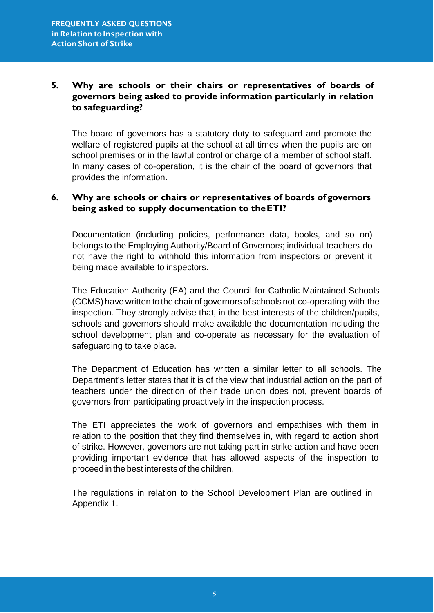### **5. Why are schools or their chairs or representatives of boards of governors being asked to provide information particularly in relation to safeguarding?**

The board of governors has a statutory duty to safeguard and promote the welfare of registered pupils at the school at all times when the pupils are on school premises or in the lawful control or charge of a member of school staff. In many cases of co-operation, it is the chair of the board of governors that provides the information.

### **6. Why are schools or chairs or representatives of boards of governors being asked to supply documentation to theETI?**

Documentation (including policies, performance data, books, and so on) belongs to the Employing Authority/Board of Governors; individual teachers do not have the right to withhold this information from inspectors or prevent it being made available to inspectors.

The Education Authority (EA) and the Council for Catholic Maintained Schools (CCMS) have written to the chair of governors of schools not co-operating with the inspection. They strongly advise that, in the best interests of the children/pupils, schools and governors should make available the documentation including the school development plan and co-operate as necessary for the evaluation of safeguarding to take place.

The Department of Education has written a similar letter to all schools. The Department's letter states that it is of the view that industrial action on the part of teachers under the direction of their trade union does not, prevent boards of governors from participating proactively in the inspection process.

The ETI appreciates the work of governors and empathises with them in relation to the position that they find themselves in, with regard to action short of strike. However, governors are not taking part in strike action and have been providing important evidence that has allowed aspects of the inspection to proceed in the best interests of the children.

The regulations in relation to the School Development Plan are outlined in Appendix 1.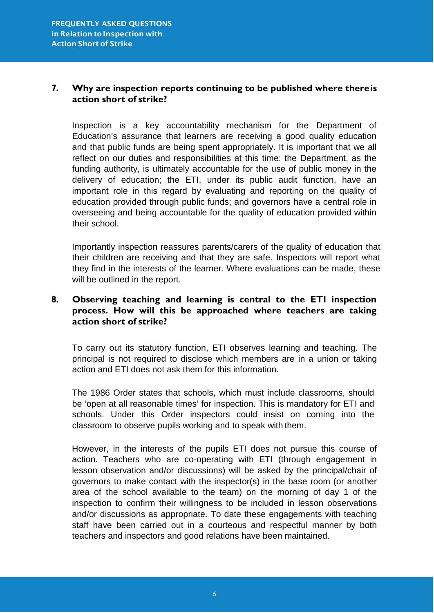### **7. Why are inspection reports continuing to be published where thereis action short of strike?**

Inspection is a key accountability mechanism for the Department of Education's assurance that learners are receiving a good quality education and that public funds are being spent appropriately. It is important that we all reflect on our duties and responsibilities at this time: the Department, as the funding authority, is ultimately accountable for the use of public money in the delivery of education; the ETI, under its public audit function, have an important role in this regard by evaluating and reporting on the quality of education provided through public funds; and governors have a central role in overseeing and being accountable for the quality of education provided within their school.

Importantly inspection reassures parents/carers of the quality of education that their children are receiving and that they are safe. Inspectors will report what they find in the interests of the learner. Where evaluations can be made, these will be outlined in the report.

### **8. Observing teaching and learning is central to the ETI inspection process. How will this be approached where teachers are taking action short of strike?**

To carry out its statutory function, ETI observes learning and teaching. The principal is not required to disclose which members are in a union or taking action and ETI does not ask them for this information.

The 1986 Order states that schools, which must include classrooms, should be 'open at all reasonable times' for inspection. This is mandatory for ETI and schools. Under this Order inspectors could insist on coming into the classroom to observe pupils working and to speak with them.

However, in the interests of the pupils ETI does not pursue this course of action. Teachers who are co-operating with ETI (through engagement in lesson observation and/or discussions) will be asked by the principal/chair of governors to make contact with the inspector(s) in the base room (or another area of the school available to the team) on the morning of day 1 of the inspection to confirm their willingness to be included in lesson observations and/or discussions as appropriate. To date these engagements with teaching staff have been carried out in a courteous and respectful manner by both teachers and inspectors and good relations have been maintained.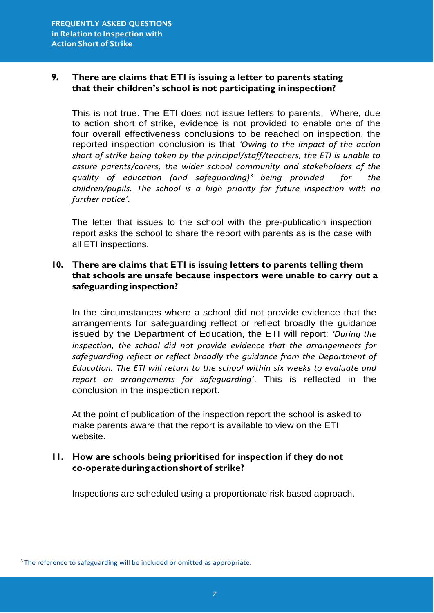### **9. There are claims that ETI is issuing a letter to parents stating that their children's school is not participating ininspection?**

This is not true. The ETI does not issue letters to parents. Where, due to action short of strike, evidence is not provided to enable one of the four overall effectiveness conclusions to be reached on inspection, the reported inspection conclusion is that *'Owing to the impact of the action short of strike being taken by the principal/staff/teachers, the ETI is unable to assure parents/carers, the wider school community and stakeholders of the quality of education (and safeguarding[\)3](#page-7-0) being provided for the children/pupils. The school is a high priority for future inspection with no further notice'.*

The letter that issues to the school with the pre-publication inspection report asks the school to share the report with parents as is the case with all ETI inspections.

### **10. There are claims that ETI is issuing letters to parents telling them that schools are unsafe because inspectors were unable to carry out a safeguarding inspection?**

In the circumstances where a school did not provide evidence that the arrangements for safeguarding reflect or reflect broadly the guidance issued by the Department of Education, the ETI will report: *'During the inspection, the school did not provide evidence that the arrangements for*  safeguarding reflect or reflect broadly the guidance from the Department of *Education. The ETI will return to the school within six weeks to evaluate and report on arrangements for safeguarding'*. This is reflected in the conclusion in the inspection report.

At the point of publication of the inspection report the school is asked to make parents aware that the report is available to view on the ETI website.

### **11. How are schools being prioritised for inspection if they do not co-operateduring actionshortof strike?**

Inspections are scheduled using a proportionate risk based approach.

<span id="page-7-0"></span><sup>&</sup>lt;sup>3</sup> The reference to safeguarding will be included or omitted as appropriate.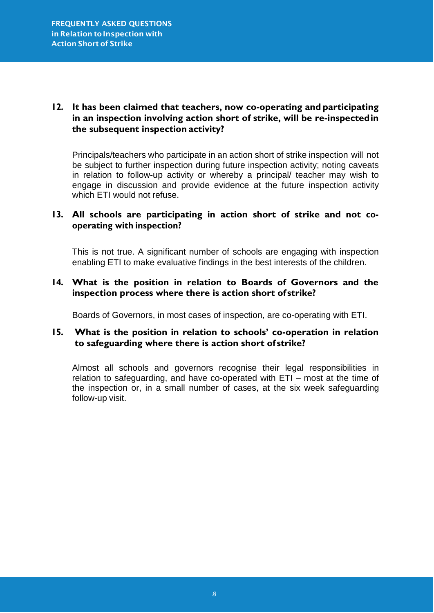### **12. It has been claimed that teachers, now co-operating and participating in an inspection involving action short of strike, will be re-inspectedin the subsequent inspection activity?**

Principals/teachers who participate in an action short of strike inspection will not be subject to further inspection during future inspection activity; noting caveats in relation to follow-up activity or whereby a principal/ teacher may wish to engage in discussion and provide evidence at the future inspection activity which ETI would not refuse.

### **13. All schools are participating in action short of strike and not cooperating with inspection?**

This is not true. A significant number of schools are engaging with inspection enabling ETI to make evaluative findings in the best interests of the children.

### **14. What is the position in relation to Boards of Governors and the inspection process where there is action short of strike?**

Boards of Governors, in most cases of inspection, are co-operating with ETI.

### **15. What is the position in relation to schools' co-operation in relation to safeguarding where there is action short of strike?**

Almost all schools and governors recognise their legal responsibilities in relation to safeguarding, and have co-operated with ETI – most at the time of the inspection or, in a small number of cases, at the six week safeguarding follow-up visit.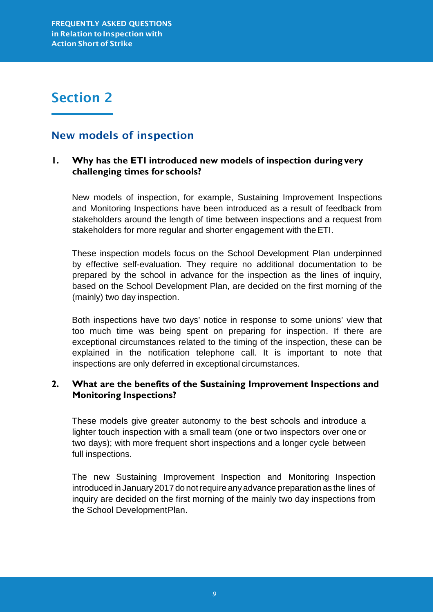# Section 2

### New models of inspection

### **1. Why has the ETI introduced new models of inspection during very challenging times for schools?**

New models of inspection, for example, Sustaining Improvement Inspections and Monitoring Inspections have been introduced as a result of feedback from stakeholders around the length of time between inspections and a request from stakeholders for more regular and shorter engagement with theETI.

These inspection models focus on the School Development Plan underpinned by effective self-evaluation. They require no additional documentation to be prepared by the school in advance for the inspection as the lines of inquiry, based on the School Development Plan, are decided on the first morning of the (mainly) two day inspection.

Both inspections have two days' notice in response to some unions' view that too much time was being spent on preparing for inspection. If there are exceptional circumstances related to the timing of the inspection, these can be explained in the notification telephone call. It is important to note that inspections are only deferred in exceptional circumstances.

### **2. What are the benefits of the Sustaining Improvement Inspections and Monitoring Inspections?**

These models give greater autonomy to the best schools and introduce a lighter touch inspection with a small team (one or two inspectors over one or two days); with more frequent short inspections and a longer cycle between full inspections.

The new Sustaining Improvement Inspection and Monitoring Inspection introduced in January2017 do notrequire anyadvance preparation as the lines of inquiry are decided on the first morning of the mainly two day inspections from the School DevelopmentPlan.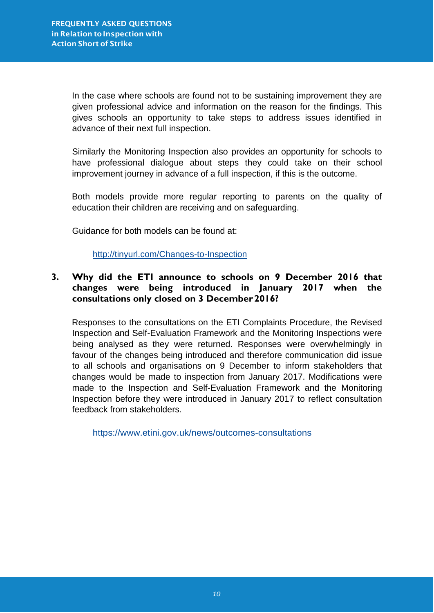In the case where schools are found not to be sustaining improvement they are given professional advice and information on the reason for the findings. This gives schools an opportunity to take steps to address issues identified in advance of their next full inspection.

Similarly the Monitoring Inspection also provides an opportunity for schools to have professional dialogue about steps they could take on their school improvement journey in advance of a full inspection, if this is the outcome.

Both models provide more regular reporting to parents on the quality of education their children are receiving and on safeguarding.

Guidance for both models can be found at:

<http://tinyurl.com/Changes-to-Inspection>

### **3. Why did the ETI announce to schools on 9 December 2016 that changes were being introduced in January 2017 when the consultations only closed on 3 December2016?**

Responses to the consultations on the ETI Complaints Procedure, the Revised Inspection and Self-Evaluation Framework and the Monitoring Inspections were being analysed as they were returned. Responses were overwhelmingly in favour of the changes being introduced and therefore communication did issue to all schools and organisations on 9 December to inform stakeholders that changes would be made to inspection from January 2017. Modifications were made to the Inspection and Self-Evaluation Framework and the Monitoring Inspection before they were introduced in January 2017 to reflect consultation feedback from stakeholders.

[https://www.etini.gov.uk/news/outcomes-consultations](http://www.etini.gov.uk/news/outcomes-consultations)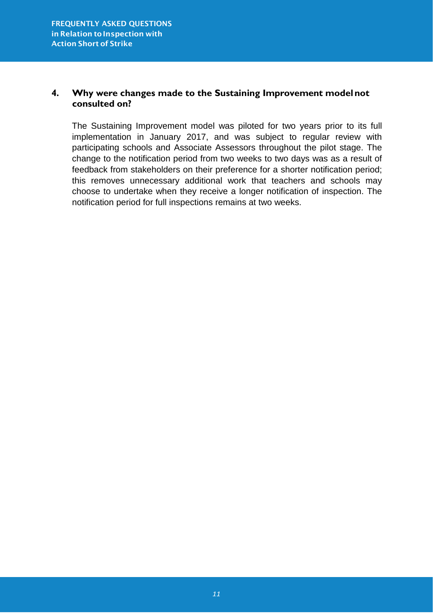### **4. Why were changes made to the Sustaining Improvement modelnot consulted on?**

The Sustaining Improvement model was piloted for two years prior to its full implementation in January 2017, and was subject to regular review with participating schools and Associate Assessors throughout the pilot stage. The change to the notification period from two weeks to two days was as a result of feedback from stakeholders on their preference for a shorter notification period; this removes unnecessary additional work that teachers and schools may choose to undertake when they receive a longer notification of inspection. The notification period for full inspections remains at two weeks.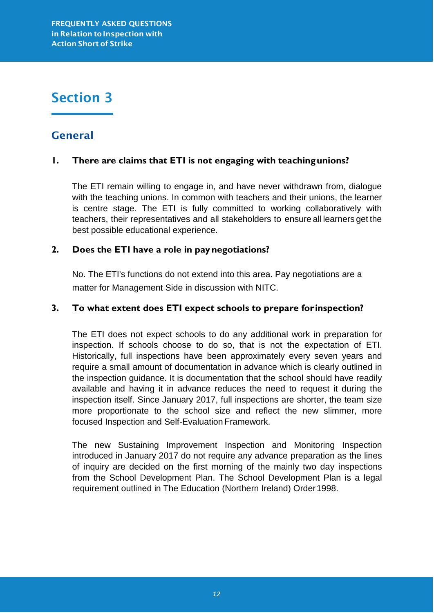# Section 3

### General

### **1. There are claims that ETI is not engaging with teachingunions?**

The ETI remain willing to engage in, and have never withdrawn from, dialogue with the teaching unions. In common with teachers and their unions, the learner is centre stage. The ETI is fully committed to working collaboratively with teachers, their representatives and all stakeholders to ensure all learners get the best possible educational experience.

### **2. Does the ETI have a role in paynegotiations?**

No. The ETI's functions do not extend into this area. Pay negotiations are a matter for Management Side in discussion with NITC.

### **3. To what extent does ETI expect schools to prepare forinspection?**

The ETI does not expect schools to do any additional work in preparation for inspection. If schools choose to do so, that is not the expectation of ETI. Historically, full inspections have been approximately every seven years and require a small amount of documentation in advance which is clearly outlined in the inspection guidance. It is documentation that the school should have readily available and having it in advance reduces the need to request it during the inspection itself. Since January 2017, full inspections are shorter, the team size more proportionate to the school size and reflect the new slimmer, more focused Inspection and Self-Evaluation Framework.

The new Sustaining Improvement Inspection and Monitoring Inspection introduced in January 2017 do not require any advance preparation as the lines of inquiry are decided on the first morning of the mainly two day inspections from the School Development Plan. The School Development Plan is a legal requirement outlined in The Education (Northern Ireland) Order1998.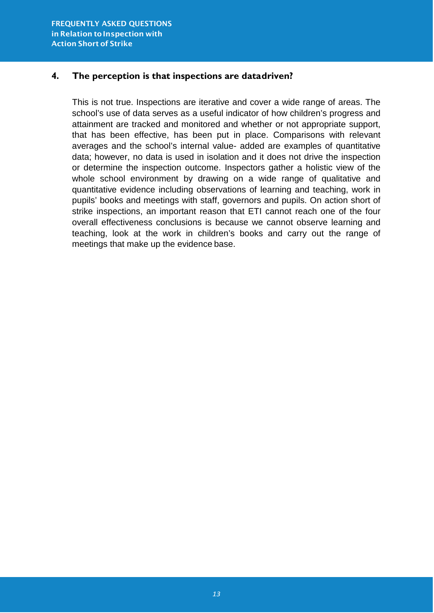### **4. The perception is that inspections are datadriven?**

This is not true. Inspections are iterative and cover a wide range of areas. The school's use of data serves as a useful indicator of how children's progress and attainment are tracked and monitored and whether or not appropriate support, that has been effective, has been put in place. Comparisons with relevant averages and the school's internal value- added are examples of quantitative data; however, no data is used in isolation and it does not drive the inspection or determine the inspection outcome. Inspectors gather a holistic view of the whole school environment by drawing on a wide range of qualitative and quantitative evidence including observations of learning and teaching, work in pupils' books and meetings with staff, governors and pupils. On action short of strike inspections, an important reason that ETI cannot reach one of the four overall effectiveness conclusions is because we cannot observe learning and teaching, look at the work in children's books and carry out the range of meetings that make up the evidence base.